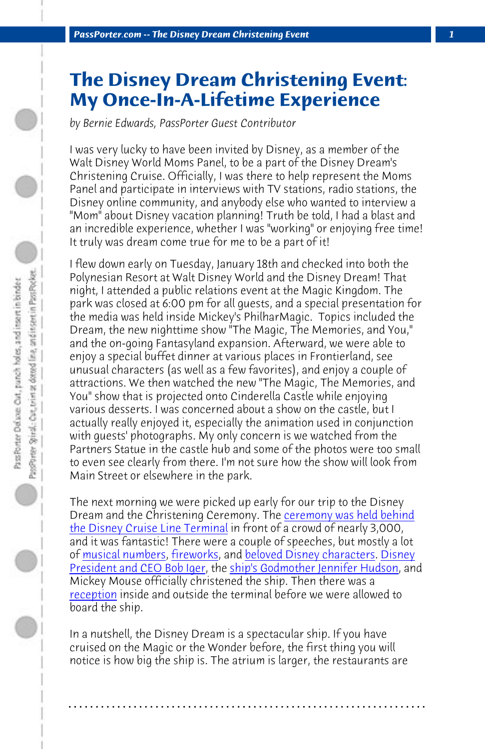*PassPorter.com -- The Disney Dream Christening Event 1*

## **The Disney Dream Christening Event: My Once-In-A-Lifetime Experience**

*by Bernie Edwards, PassPorter Guest Contributor*

I was very lucky to have been invited by Disney, as a member of the Walt Disney World Moms Panel, to be a part of the Disney Dream's Christening Cruise. Officially, I was there to help represent the Moms Panel and participate in interviews with TV stations, radio stations, the Disney online community, and anybody else who wanted to interview a "Mom" about Disney vacation planning! Truth be told, I had a blast and an incredible experience, whether I was "working" or enjoying free time! It truly was dream come true for me to be a part of it!

I flew down early on Tuesday, January 18th and checked into both the Polynesian Resort at Walt Disney World and the Disney Dream! That night, I attended a public relations event at [the Magic Kingdom. The](http://www.passporterboards.com/forums/window-seat-real-time-photo-trip-report-passporter/236399-program-disney-dream-christening.html) [park was closed at 6:00 pm for a](http://www.passporterboards.com/forums/window-seat-real-time-photo-trip-report-passporter/236399-program-disney-dream-christening.html)ll guests, and a special presentation for the media was held inside Mickey's PhilharMagic. Topics included the D[ream, the new nig](http://www.passporter.com/photos/disney-dream-ship/p24886-disney-dream-christening-ceremony.html)[httime sho](http://www.passporter.com/photos/disney-dream-ship/p24957-disney-dream-christening-ceremony-fireworks.html)w "T[he Magic, The Memories, an](http://www.passporter.com/photos/disney-dream-ship/p24884-disney-dream-christening-ceremony.html)[d You,"](http://www.passporter.com/photos/disney-dream-ship/p24883-disney-dream-christening-ceremony.html) [and the on-going Fantasylan](http://www.passporter.com/photos/disney-dream-ship/p24883-disney-dream-christening-ceremony.html)d ex[pansion. Afterward, we were able t](http://www.passporterboards.com/forums/window-seat-real-time-photo-trip-report-passporter/236416-godmother-jennifer-hudson.html)o enjoy a special buffet dinner at various places in Frontierland, see [unusual ch](http://www.passporterboards.com/forums/window-seat-real-time-photo-trip-report-passporter/236420-sparkling-cider-toast-disney-dream.html)aracters (as well as a few favorites), and enjoy a couple of attractions. We then watched the new "The Magic, The Memories, and You" show that is projected onto Cinderella Castle while enjoying various desserts. I was concerned about a show on the castle, but I actually really enjoyed it, especially the animation used in conjunction with guests' photographs. My only concern is we watched from the Partners Statue in the castle hub and some of the photos were too small to even see clearly from there. I'm not sure how the show will look from Main Street or elsewhere in the park.

The next morning we were picked up early for our trip to the Disney Dream and the Christening Ceremony. The ceremony was held behind the Disney Cruise Line Terminal in front of a crowd of nearly 3,000, and it was fantastic! There were a couple of speeches, but mostly a lot of musical numbers, fireworks, and beloved Disney characters. Disney President and CEO Bob Iger, the ship's Godmother Jennifer Hudson, and Mickey Mouse officially christened the ship. Then there was a reception inside and outside the terminal before we were allowed to board the ship.

In a nutshell, the Disney Dream is a spectacular ship. If you have cruised on the Magic or the Wonder before, the first thing you will notice is how big the ship is. The atrium is larger, the restaurants are

**. . . . . . . . . . . . . . . . . . . . . . . . . . . . . . . . . . . . . . . . . . . . . . . . . . . . . . . . . . . . . . . . . .**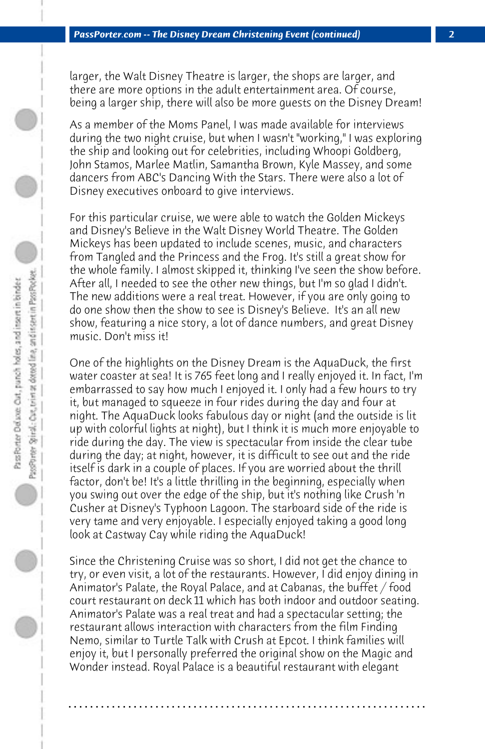larger, the Walt Disney Theatre is larger, the shops are larger, and there are more options in the adult entertainment area. Of course, being a larger ship, there will also be more guests on the Disney Dream!

As a member of the Moms Panel, I was made available for interviews during the two night cruise, but when I wasn't "working," I was exploring the ship and looking out for celebrities, including Whoopi Goldberg, John Stamos, Marlee Matlin, Samantha Brown, Kyle Massey, and some dancers from ABC's Dancing With the Stars. There were also a lot of Disney executives onboard to give interviews.

For this particular cruise, we were able to watch the Golden Mickeys and Disney's Believe in the Walt Disney World Theatre. The Golden Mickeys has been updated to include scenes, music, and characters from Tangled and the Princess and the Frog. It's still a great show for the whole family. I almost skipped it, thinking I've seen the show before. After all, I needed to see the other new things, but I'm so glad I didn't. The new additions were a real treat. However, if you are only going to do one show then the show to see is Disney's Believe. It's an all new show, featuring a nice story, a lot of dance numbers, and great Disney music. Don't miss it!

One of the highlights on the Disney Dream is the AquaDuck, the first water coaster at sea! It is 765 feet long and I really enjoyed it. In fact, I'm embarrassed to say how much I enjoyed it. I only had a few hours to try it, but managed to squeeze in four rides during the day and four at night. The AquaDuck looks fabulous day or night (and the outside is lit up with colorful lights at night), but I think it is much more enjoyable to ride during the day. The view is spectacular from inside the clear tube during the day; at night, however, it is difficult to see out and the ride itself is dark in a couple of places. If you are worried about the thrill factor, don't be! It's a little thrilling in the beginning, especially when you swing out over the edge of the ship, but it's nothing like Crush 'n Cusher at Disney's Typhoon Lagoon. The starboard side of the ride is very tame and very enjoyable. I especially enjoyed taking a good long look at Castway Cay while riding the AquaDuck!

Since the Christening Cruise was so short, I did not get the chance to try, or even visit, a lot of the restaurants. However, I did enjoy dining in Animator's Palate, the Royal Palace, and at Cabanas, the buffet / food court restaurant on deck 11 which has both indoor and outdoor seating. Animator's Palate was a real treat and had a spectacular setting; the restaurant allows interaction with characters from the film Finding Nemo, similar to Turtle Talk with Crush at Epcot. I think families will enjoy it, but I personally preferred the original show on the Magic and Wonder instead. Royal Palace is a beautiful restaurant with elegant

**. . . . . . . . . . . . . . . . . . . . . . . . . . . . . . . . . . . . . . . . . . . . . . . . . . . . . . . . . . . . . . . . . .**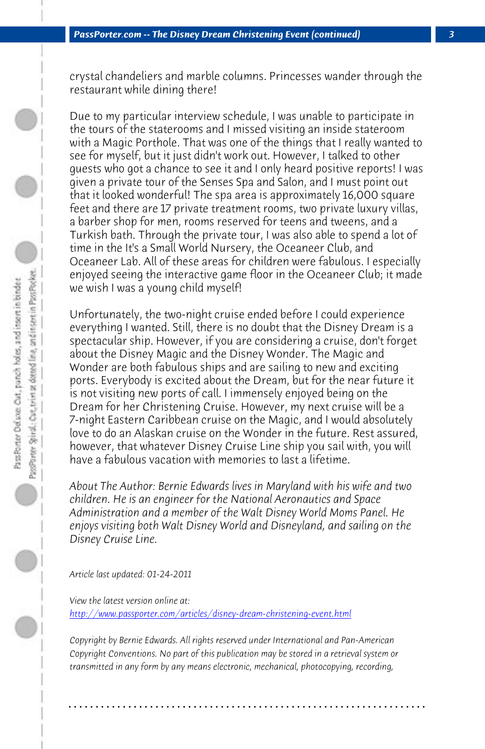*PassPorter.com -- The Disney Dream Christening Event (continued) 3*

crystal chandeliers and marble columns. Princesses wander through the restaurant while dining there!

Due to my particular interview schedule, I was unable to participate in the tours of the staterooms and I missed visiting an inside stateroom with a Magic Porthole. That was one of the things that I really wanted to see for myself, but it just didn't work out. However, I talked to other guests who got a chance to see it and I only heard positive reports! I was given a private tour of the Senses Spa and Salon, and I must point out that it looked wonderful! The spa area is approximately 16,000 square feet and there are 17 private treatment rooms, two private luxury villas, a barber shop for men, rooms reserved for teens and tweens, and a Turkish bath. Through the private tour, I was also able to spend a lot of time in the It's a Small World Nursery, the Oceaneer Club, and Oceaneer Lab. All of these areas for children were fabulous. I especially enjoyed seeing the interactive game floor in the Oceaneer Club; it made we wish I was a young child myself!

Unfortunately, the two-night cruise ended before I could experience everything I wanted. Still, there is no doubt that the Disney Dream is a spectacular ship. However, if you are considering a cruise, don't forget about the Disney Magic and the Disney Wonder. The Magic and Wonder are both fabulous ships and are sailing to new and exciting ports. Everybody is excited about the Dream, but for the near future it [is not visiting new ports of call. I immensely enjoyed being](http://www.passporter.com/articles/disney-dream-christening-event.php) on the Dream for her Christening Cruise. However, my next cruise will be a 7-night Eastern Caribbean cruise on the Magic, and I would absolutely love to do an Alaskan cruise on the Wonder in the future. Rest assured, however, that whatever Disney Cruise Line ship you sail with, you will have a fabulous vacation with memories to last a lifetime.

*About The Author: Bernie Edwards lives in Maryland with his wife and two children. He is an engineer for the National Aeronautics and Space Administration and a member of the Walt Disney World Moms Panel. He enjoys visiting both Walt Disney World and Disneyland, and sailing on the Disney Cruise Line.*

*Article last updated: 01-24-2011*

*View the latest version online at: http://www.passporter.com/articles/disney-dream-christening-event.html*

*Copyright by Bernie Edwards. All rights reserved under International and Pan-American Copyright Conventions. No part of this publication may be stored in a retrieval system or transmitted in any form by any means electronic, mechanical, photocopying, recording,*

**. . . . . . . . . . . . . . . . . . . . . . . . . . . . . . . . . . . . . . . . . . . . . . . . . . . . . . . . . . . . . . . . . .**